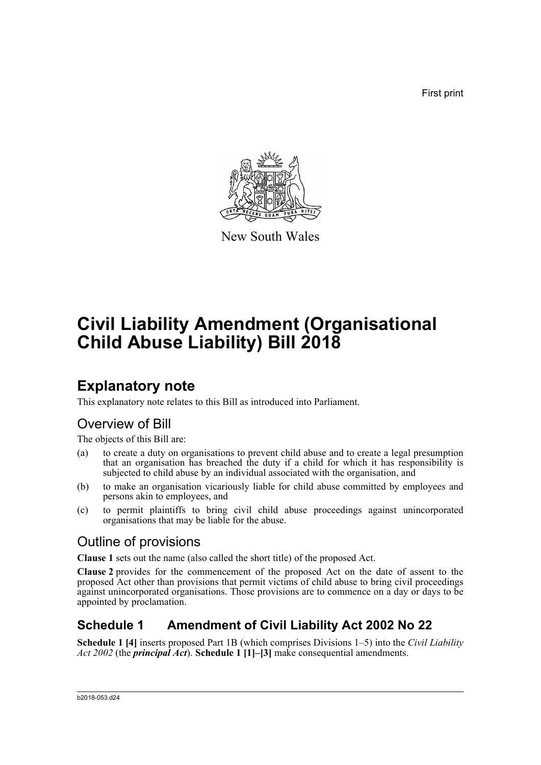First print



New South Wales

# **Civil Liability Amendment (Organisational Child Abuse Liability) Bill 2018**

## **Explanatory note**

This explanatory note relates to this Bill as introduced into Parliament.

## Overview of Bill

The objects of this Bill are:

- (a) to create a duty on organisations to prevent child abuse and to create a legal presumption that an organisation has breached the duty if a child for which it has responsibility is subjected to child abuse by an individual associated with the organisation, and
- (b) to make an organisation vicariously liable for child abuse committed by employees and persons akin to employees, and
- (c) to permit plaintiffs to bring civil child abuse proceedings against unincorporated organisations that may be liable for the abuse.

## Outline of provisions

**Clause 1** sets out the name (also called the short title) of the proposed Act.

**Clause 2** provides for the commencement of the proposed Act on the date of assent to the proposed Act other than provisions that permit victims of child abuse to bring civil proceedings against unincorporated organisations. Those provisions are to commence on a day or days to be appointed by proclamation.

## **Schedule 1 Amendment of Civil Liability Act 2002 No 22**

**Schedule 1 [4]** inserts proposed Part 1B (which comprises Divisions 1–5) into the *Civil Liability Act 2002* (the *principal Act*). **Schedule 1 [1]–[3]** make consequential amendments.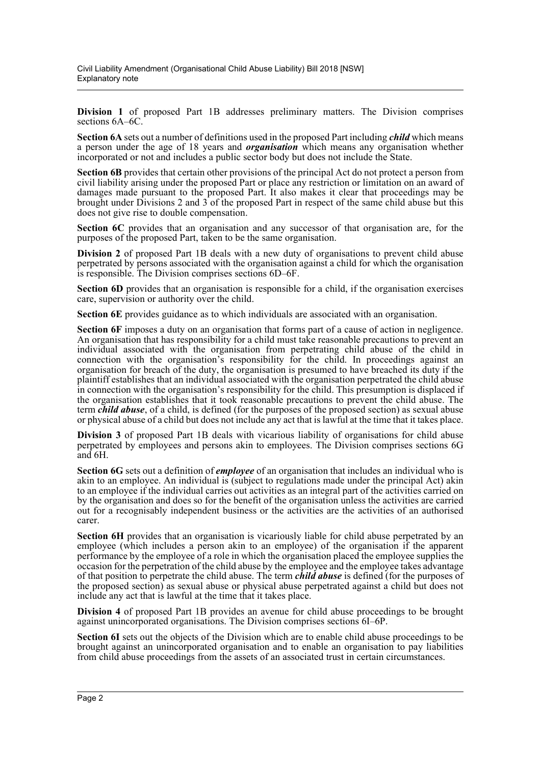**Division 1** of proposed Part 1B addresses preliminary matters. The Division comprises sections 6A–6C.

**Section 6A** sets out a number of definitions used in the proposed Part including *child* which means a person under the age of 18 years and *organisation* which means any organisation whether incorporated or not and includes a public sector body but does not include the State.

**Section 6B** provides that certain other provisions of the principal Act do not protect a person from civil liability arising under the proposed Part or place any restriction or limitation on an award of damages made pursuant to the proposed Part. It also makes it clear that proceedings may be brought under Divisions 2 and 3 of the proposed Part in respect of the same child abuse but this does not give rise to double compensation.

**Section 6C** provides that an organisation and any successor of that organisation are, for the purposes of the proposed Part, taken to be the same organisation.

**Division 2** of proposed Part 1B deals with a new duty of organisations to prevent child abuse perpetrated by persons associated with the organisation against a child for which the organisation is responsible. The Division comprises sections 6D–6F.

**Section 6D** provides that an organisation is responsible for a child, if the organisation exercises care, supervision or authority over the child.

**Section 6E** provides guidance as to which individuals are associated with an organisation.

**Section 6F** imposes a duty on an organisation that forms part of a cause of action in negligence. An organisation that has responsibility for a child must take reasonable precautions to prevent an individual associated with the organisation from perpetrating child abuse of the child in connection with the organisation's responsibility for the child. In proceedings against an organisation for breach of the duty, the organisation is presumed to have breached its duty if the plaintiff establishes that an individual associated with the organisation perpetrated the child abuse in connection with the organisation's responsibility for the child. This presumption is displaced if the organisation establishes that it took reasonable precautions to prevent the child abuse. The term *child abuse*, of a child, is defined (for the purposes of the proposed section) as sexual abuse or physical abuse of a child but does not include any act that is lawful at the time that it takes place.

**Division 3** of proposed Part 1B deals with vicarious liability of organisations for child abuse perpetrated by employees and persons akin to employees. The Division comprises sections 6G and 6H.

**Section 6G** sets out a definition of *employee* of an organisation that includes an individual who is akin to an employee. An individual is (subject to regulations made under the principal Act) akin to an employee if the individual carries out activities as an integral part of the activities carried on by the organisation and does so for the benefit of the organisation unless the activities are carried out for a recognisably independent business or the activities are the activities of an authorised carer.

**Section 6H** provides that an organisation is vicariously liable for child abuse perpetrated by an employee (which includes a person akin to an employee) of the organisation if the apparent performance by the employee of a role in which the organisation placed the employee supplies the occasion for the perpetration of the child abuse by the employee and the employee takes advantage of that position to perpetrate the child abuse. The term *child abuse* is defined (for the purposes of the proposed section) as sexual abuse or physical abuse perpetrated against a child but does not include any act that is lawful at the time that it takes place.

**Division 4** of proposed Part 1B provides an avenue for child abuse proceedings to be brought against unincorporated organisations. The Division comprises sections 6I–6P.

**Section 6I** sets out the objects of the Division which are to enable child abuse proceedings to be brought against an unincorporated organisation and to enable an organisation to pay liabilities from child abuse proceedings from the assets of an associated trust in certain circumstances.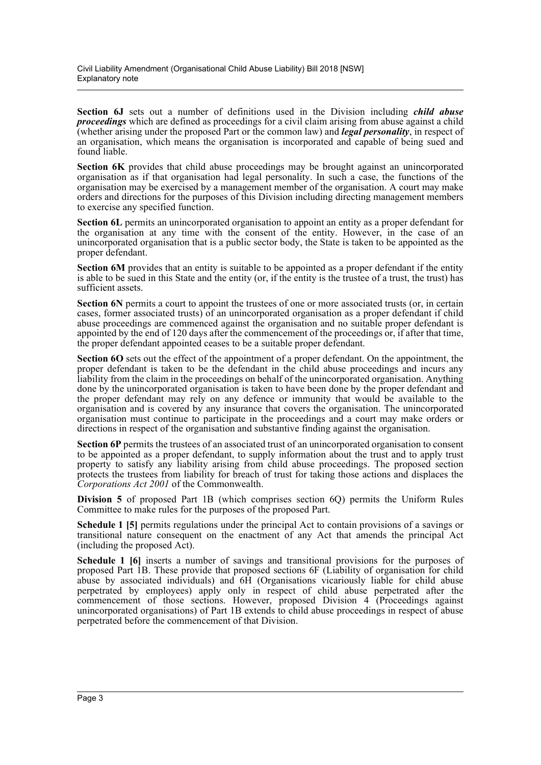**Section 6J** sets out a number of definitions used in the Division including *child abuse proceedings* which are defined as proceedings for a civil claim arising from abuse against a child (whether arising under the proposed Part or the common law) and *legal personality*, in respect of an organisation, which means the organisation is incorporated and capable of being sued and found liable.

**Section 6K** provides that child abuse proceedings may be brought against an unincorporated organisation as if that organisation had legal personality. In such a case, the functions of the organisation may be exercised by a management member of the organisation. A court may make orders and directions for the purposes of this Division including directing management members to exercise any specified function.

**Section 6L** permits an unincorporated organisation to appoint an entity as a proper defendant for the organisation at any time with the consent of the entity. However, in the case of an unincorporated organisation that is a public sector body, the State is taken to be appointed as the proper defendant.

**Section 6M** provides that an entity is suitable to be appointed as a proper defendant if the entity is able to be sued in this State and the entity (or, if the entity is the trustee of a trust, the trust) has sufficient assets.

**Section 6N** permits a court to appoint the trustees of one or more associated trusts (or, in certain cases, former associated trusts) of an unincorporated organisation as a proper defendant if child abuse proceedings are commenced against the organisation and no suitable proper defendant is appointed by the end of 120 days after the commencement of the proceedings or, if after that time, the proper defendant appointed ceases to be a suitable proper defendant.

**Section 6O** sets out the effect of the appointment of a proper defendant. On the appointment, the proper defendant is taken to be the defendant in the child abuse proceedings and incurs any liability from the claim in the proceedings on behalf of the unincorporated organisation. Anything done by the unincorporated organisation is taken to have been done by the proper defendant and the proper defendant may rely on any defence or immunity that would be available to the organisation and is covered by any insurance that covers the organisation. The unincorporated organisation must continue to participate in the proceedings and a court may make orders or directions in respect of the organisation and substantive finding against the organisation.

**Section 6P** permits the trustees of an associated trust of an unincorporated organisation to consent to be appointed as a proper defendant, to supply information about the trust and to apply trust property to satisfy any liability arising from child abuse proceedings. The proposed section protects the trustees from liability for breach of trust for taking those actions and displaces the *Corporations Act 2001* of the Commonwealth.

**Division 5** of proposed Part 1B (which comprises section 6Q) permits the Uniform Rules Committee to make rules for the purposes of the proposed Part.

**Schedule 1 [5]** permits regulations under the principal Act to contain provisions of a savings or transitional nature consequent on the enactment of any Act that amends the principal Act (including the proposed Act).

**Schedule 1 [6]** inserts a number of savings and transitional provisions for the purposes of proposed Part 1B. These provide that proposed sections 6F (Liability of organisation for child abuse by associated individuals) and 6H (Organisations vicariously liable for child abuse perpetrated by employees) apply only in respect of child abuse perpetrated after the commencement of those sections. However, proposed Division 4 (Proceedings against unincorporated organisations) of Part 1B extends to child abuse proceedings in respect of abuse perpetrated before the commencement of that Division.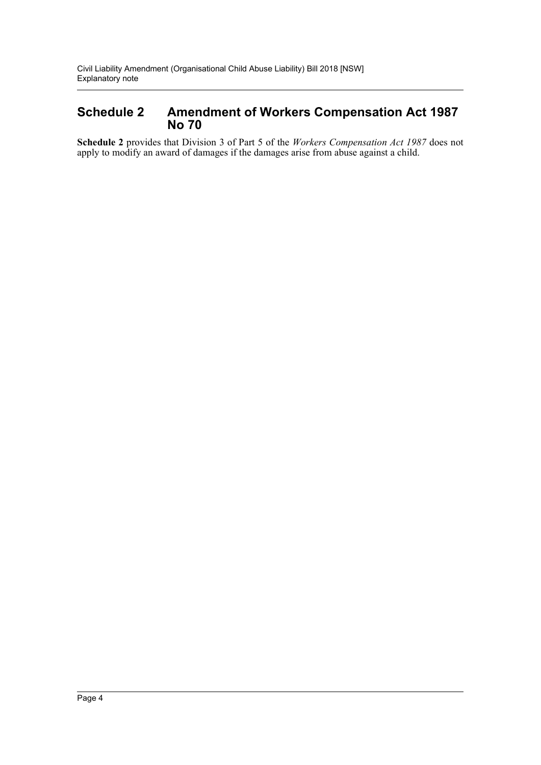### **Schedule 2 Amendment of Workers Compensation Act 1987 No 70**

**Schedule 2** provides that Division 3 of Part 5 of the *Workers Compensation Act 1987* does not apply to modify an award of damages if the damages arise from abuse against a child.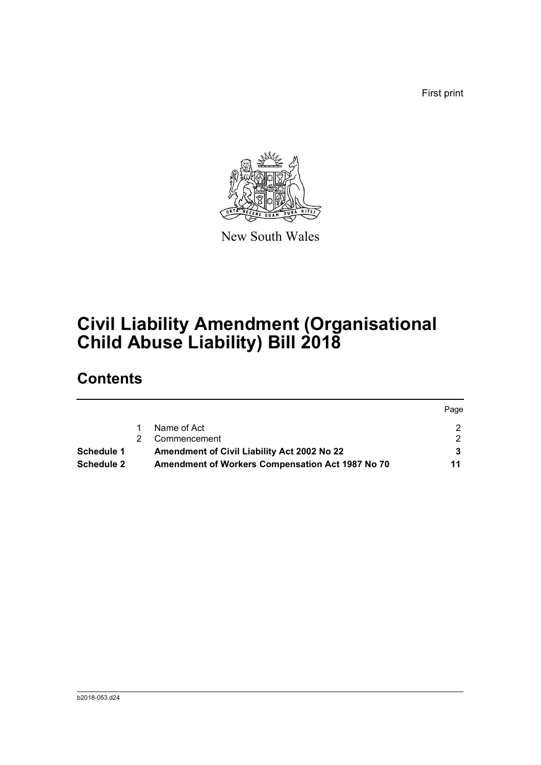First print

Page



New South Wales

# **Civil Liability Amendment (Organisational Child Abuse Liability) Bill 2018**

## **Contents**

|            |    |                                                         | <b>rage</b> |
|------------|----|---------------------------------------------------------|-------------|
|            |    | Name of Act                                             |             |
|            | 2. | Commencement                                            |             |
| Schedule 1 |    | Amendment of Civil Liability Act 2002 No 22             |             |
| Schedule 2 |    | <b>Amendment of Workers Compensation Act 1987 No 70</b> | 11          |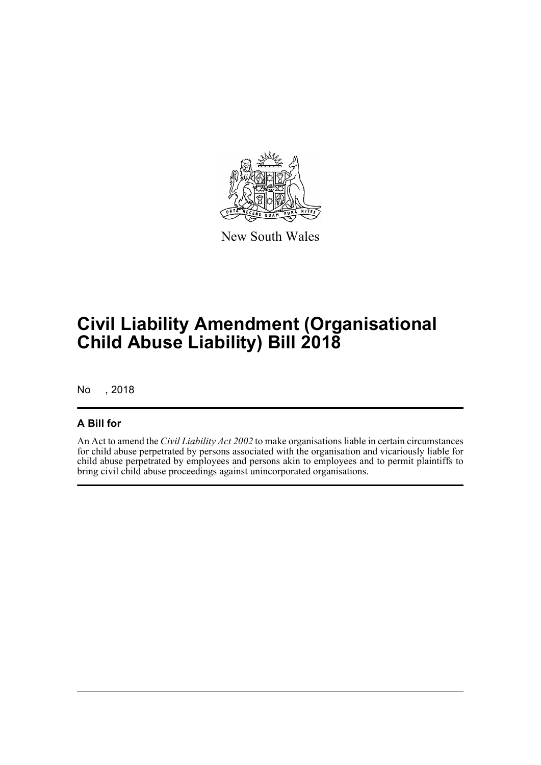

New South Wales

# **Civil Liability Amendment (Organisational Child Abuse Liability) Bill 2018**

No , 2018

### **A Bill for**

An Act to amend the *Civil Liability Act 2002* to make organisations liable in certain circumstances for child abuse perpetrated by persons associated with the organisation and vicariously liable for child abuse perpetrated by employees and persons akin to employees and to permit plaintiffs to bring civil child abuse proceedings against unincorporated organisations.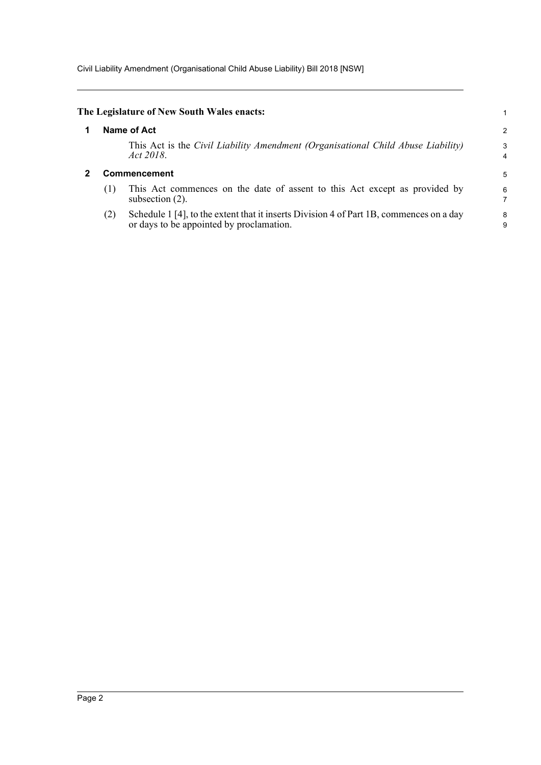<span id="page-6-1"></span><span id="page-6-0"></span>

|                     | The Legislature of New South Wales enacts:                                                                                          |                     |  |
|---------------------|-------------------------------------------------------------------------------------------------------------------------------------|---------------------|--|
|                     | Name of Act                                                                                                                         | 2                   |  |
|                     | This Act is the Civil Liability Amendment (Organisational Child Abuse Liability)<br>Act 2018.                                       | 3<br>$\overline{4}$ |  |
| <b>Commencement</b> |                                                                                                                                     |                     |  |
| (1)                 | This Act commences on the date of assent to this Act except as provided by<br>subsection $(2)$ .                                    | 6                   |  |
| (2)                 | Schedule 1 [4], to the extent that it inserts Division 4 of Part 1B, commences on a day<br>or days to be appointed by proclamation. | 8<br>9              |  |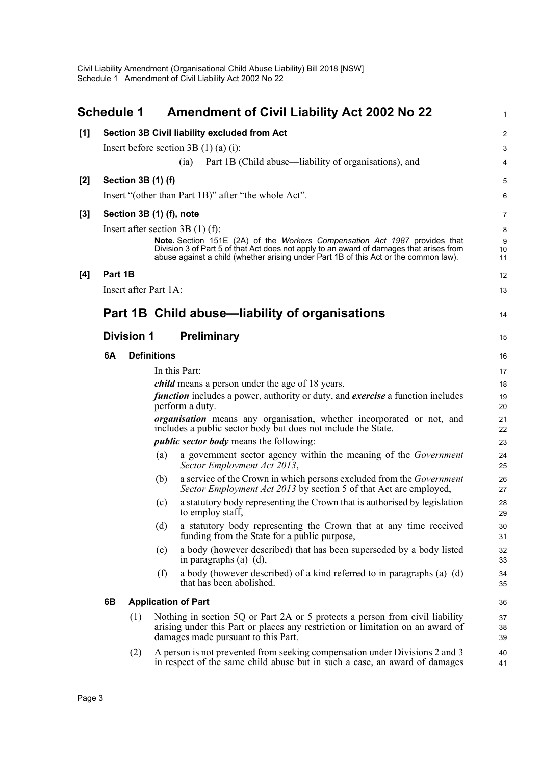<span id="page-7-0"></span>

|       | <b>Schedule 1</b> |                          |                    | <b>Amendment of Civil Liability Act 2002 No 22</b>                                                                                                                                                                                                            | 1                       |
|-------|-------------------|--------------------------|--------------------|---------------------------------------------------------------------------------------------------------------------------------------------------------------------------------------------------------------------------------------------------------------|-------------------------|
| [1]   |                   |                          |                    | <b>Section 3B Civil liability excluded from Act</b>                                                                                                                                                                                                           | $\overline{\mathbf{c}}$ |
|       |                   |                          |                    | Insert before section $3B(1)(a)(i)$ :                                                                                                                                                                                                                         | 3                       |
|       |                   |                          |                    | Part 1B (Child abuse—liability of organisations), and<br>(ia)                                                                                                                                                                                                 | 4                       |
| $[2]$ |                   | Section 3B (1) (f)       |                    |                                                                                                                                                                                                                                                               | 5                       |
|       |                   |                          |                    | Insert "(other than Part 1B)" after "the whole Act".                                                                                                                                                                                                          | 6                       |
| $[3]$ |                   | Section 3B (1) (f), note |                    |                                                                                                                                                                                                                                                               | 7                       |
|       |                   |                          |                    | Insert after section $3B(1)$ (f):                                                                                                                                                                                                                             | 8                       |
|       |                   |                          |                    | Note. Section 151E (2A) of the Workers Compensation Act 1987 provides that<br>Division 3 of Part 5 of that Act does not apply to an award of damages that arises from<br>abuse against a child (whether arising under Part 1B of this Act or the common law). | 9<br>10<br>11           |
| [4]   | Part 1B           |                          |                    |                                                                                                                                                                                                                                                               | 12                      |
|       |                   | Insert after Part 1A:    |                    |                                                                                                                                                                                                                                                               | 13                      |
|       |                   |                          |                    | Part 1B Child abuse—liability of organisations                                                                                                                                                                                                                | 14                      |
|       |                   | <b>Division 1</b>        |                    | <b>Preliminary</b>                                                                                                                                                                                                                                            | 15                      |
|       | 6A                |                          | <b>Definitions</b> |                                                                                                                                                                                                                                                               | 16                      |
|       |                   |                          |                    | In this Part:                                                                                                                                                                                                                                                 | 17                      |
|       |                   |                          |                    | <i>child</i> means a person under the age of 18 years.                                                                                                                                                                                                        | 18                      |
|       |                   |                          |                    | function includes a power, authority or duty, and exercise a function includes<br>perform a duty.                                                                                                                                                             | 19<br>20                |
|       |                   |                          |                    | <i>organisation</i> means any organisation, whether incorporated or not, and<br>includes a public sector body but does not include the State.                                                                                                                 | 21<br>22                |
|       |                   |                          |                    | <i>public sector body</i> means the following:                                                                                                                                                                                                                | 23                      |
|       |                   |                          | (a)                | a government sector agency within the meaning of the Government<br>Sector Employment Act 2013,                                                                                                                                                                | 24<br>25                |
|       |                   |                          | (b)                | a service of the Crown in which persons excluded from the Government<br>Sector Employment Act 2013 by section 5 of that Act are employed,                                                                                                                     | 26<br>27                |
|       |                   |                          | (c)                | a statutory body representing the Crown that is authorised by legislation<br>to employ staff,                                                                                                                                                                 | 28<br>29                |
|       |                   |                          | (d)                | a statutory body representing the Crown that at any time received<br>funding from the State for a public purpose,                                                                                                                                             | 30<br>31                |
|       |                   |                          | (e)                | a body (however described) that has been superseded by a body listed<br>in paragraphs $(a)$ – $(d)$ ,                                                                                                                                                         | 32<br>33                |
|       |                   |                          | (f)                | a body (however described) of a kind referred to in paragraphs $(a)$ – $(d)$<br>that has been abolished.                                                                                                                                                      | 34<br>35                |
|       | 6B                |                          |                    | <b>Application of Part</b>                                                                                                                                                                                                                                    | 36                      |
|       |                   | (1)                      |                    | Nothing in section 5Q or Part 2A or 5 protects a person from civil liability<br>arising under this Part or places any restriction or limitation on an award of<br>damages made pursuant to this Part.                                                         | 37<br>38<br>39          |
|       |                   | (2)                      |                    | A person is not prevented from seeking compensation under Divisions 2 and 3<br>in respect of the same child abuse but in such a case, an award of damages                                                                                                     | 40<br>41                |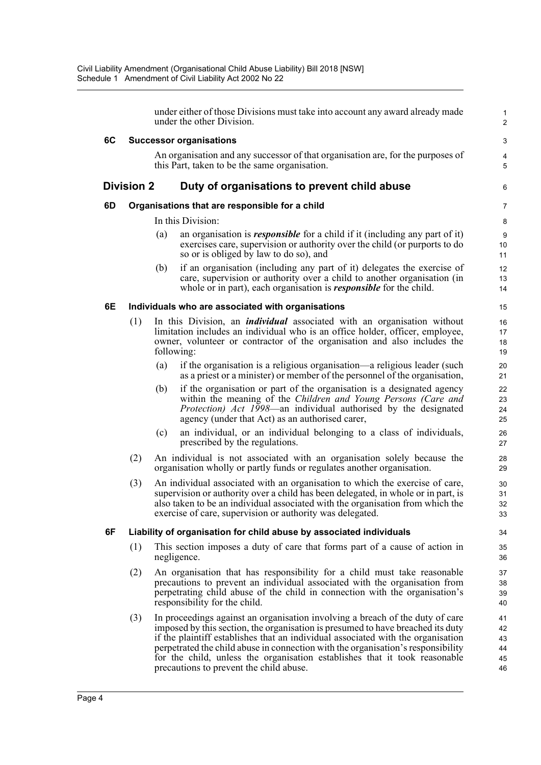|    |                   |     | under either of those Divisions must take into account any award already made<br>under the other Division.                                                                                                                                                                                                                                                                                                                                                        | 1<br>$\overline{2}$              |
|----|-------------------|-----|-------------------------------------------------------------------------------------------------------------------------------------------------------------------------------------------------------------------------------------------------------------------------------------------------------------------------------------------------------------------------------------------------------------------------------------------------------------------|----------------------------------|
| 6C |                   |     | <b>Successor organisations</b>                                                                                                                                                                                                                                                                                                                                                                                                                                    | 3                                |
|    |                   |     | An organisation and any successor of that organisation are, for the purposes of<br>this Part, taken to be the same organisation.                                                                                                                                                                                                                                                                                                                                  | $\overline{4}$<br>5              |
|    | <b>Division 2</b> |     | Duty of organisations to prevent child abuse                                                                                                                                                                                                                                                                                                                                                                                                                      | 6                                |
| 6D |                   |     | Organisations that are responsible for a child                                                                                                                                                                                                                                                                                                                                                                                                                    | 7                                |
|    |                   |     | In this Division:                                                                                                                                                                                                                                                                                                                                                                                                                                                 | 8                                |
|    |                   | (a) | an organisation is <i>responsible</i> for a child if it (including any part of it)<br>exercises care, supervision or authority over the child (or purports to do<br>so or is obliged by law to do so), and                                                                                                                                                                                                                                                        | $9\,$<br>10<br>11                |
|    |                   | (b) | if an organisation (including any part of it) delegates the exercise of<br>care, supervision or authority over a child to another organisation (in<br>whole or in part), each organisation is <b><i>responsible</i></b> for the child.                                                                                                                                                                                                                            | 12<br>13<br>14                   |
| 6E |                   |     | Individuals who are associated with organisations                                                                                                                                                                                                                                                                                                                                                                                                                 | 15                               |
|    | (1)               |     | In this Division, an <i>individual</i> associated with an organisation without<br>limitation includes an individual who is an office holder, officer, employee,<br>owner, volunteer or contractor of the organisation and also includes the<br>following:                                                                                                                                                                                                         | 16<br>17<br>18<br>19             |
|    |                   | (a) | if the organisation is a religious organisation—a religious leader (such<br>as a priest or a minister) or member of the personnel of the organisation,                                                                                                                                                                                                                                                                                                            | 20<br>21                         |
|    |                   | (b) | if the organisation or part of the organisation is a designated agency<br>within the meaning of the Children and Young Persons (Care and<br>Protection) Act 1998—an individual authorised by the designated<br>agency (under that Act) as an authorised carer,                                                                                                                                                                                                    | 22<br>23<br>24<br>25             |
|    |                   | (c) | an individual, or an individual belonging to a class of individuals,<br>prescribed by the regulations.                                                                                                                                                                                                                                                                                                                                                            | 26<br>27                         |
|    | (2)               |     | An individual is not associated with an organisation solely because the<br>organisation wholly or partly funds or regulates another organisation.                                                                                                                                                                                                                                                                                                                 | 28<br>29                         |
|    | (3)               |     | An individual associated with an organisation to which the exercise of care,<br>supervision or authority over a child has been delegated, in whole or in part, is<br>also taken to be an individual associated with the organisation from which the<br>exercise of care, supervision or authority was delegated.                                                                                                                                                  | 30<br>31<br>32<br>33             |
| 6F |                   |     | Liability of organisation for child abuse by associated individuals                                                                                                                                                                                                                                                                                                                                                                                               | 34                               |
|    | (1)               |     | This section imposes a duty of care that forms part of a cause of action in<br>negligence.                                                                                                                                                                                                                                                                                                                                                                        | 35<br>36                         |
|    | (2)               |     | An organisation that has responsibility for a child must take reasonable<br>precautions to prevent an individual associated with the organisation from<br>perpetrating child abuse of the child in connection with the organisation's<br>responsibility for the child.                                                                                                                                                                                            | 37<br>38<br>39<br>40             |
|    | (3)               |     | In proceedings against an organisation involving a breach of the duty of care<br>imposed by this section, the organisation is presumed to have breached its duty<br>if the plaintiff establishes that an individual associated with the organisation<br>perpetrated the child abuse in connection with the organisation's responsibility<br>for the child, unless the organisation establishes that it took reasonable<br>precautions to prevent the child abuse. | 41<br>42<br>43<br>44<br>45<br>46 |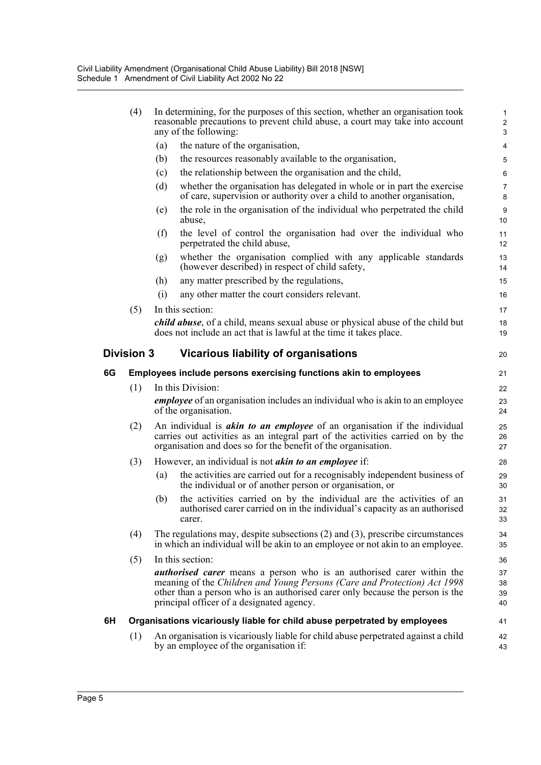|    | (4)                                                              |     | In determining, for the purposes of this section, whether an organisation took<br>reasonable precautions to prevent child abuse, a court may take into account<br>any of the following:                                                                                                | 1<br>$\overline{c}$<br>3 |
|----|------------------------------------------------------------------|-----|----------------------------------------------------------------------------------------------------------------------------------------------------------------------------------------------------------------------------------------------------------------------------------------|--------------------------|
|    |                                                                  | (a) | the nature of the organisation,                                                                                                                                                                                                                                                        | 4                        |
|    |                                                                  | (b) | the resources reasonably available to the organisation,                                                                                                                                                                                                                                | 5                        |
|    |                                                                  | (c) | the relationship between the organisation and the child,                                                                                                                                                                                                                               | 6                        |
|    |                                                                  | (d) | whether the organisation has delegated in whole or in part the exercise<br>of care, supervision or authority over a child to another organisation,                                                                                                                                     | 7<br>8                   |
|    |                                                                  | (e) | the role in the organisation of the individual who perpetrated the child<br>abuse,                                                                                                                                                                                                     | 9<br>10                  |
|    |                                                                  | (f) | the level of control the organisation had over the individual who<br>perpetrated the child abuse,                                                                                                                                                                                      | 11<br>12                 |
|    |                                                                  | (g) | whether the organisation complied with any applicable standards<br>(however described) in respect of child safety,                                                                                                                                                                     | 13<br>14                 |
|    |                                                                  | (h) | any matter prescribed by the regulations,                                                                                                                                                                                                                                              | 15                       |
|    |                                                                  | (i) | any other matter the court considers relevant.                                                                                                                                                                                                                                         | 16                       |
|    | (5)                                                              |     | In this section:                                                                                                                                                                                                                                                                       | 17                       |
|    |                                                                  |     | <i>child abuse</i> , of a child, means sexual abuse or physical abuse of the child but<br>does not include an act that is lawful at the time it takes place.                                                                                                                           | 18<br>19                 |
|    | <b>Division 3</b>                                                |     | <b>Vicarious liability of organisations</b>                                                                                                                                                                                                                                            | 20                       |
| 6G | Employees include persons exercising functions akin to employees |     |                                                                                                                                                                                                                                                                                        |                          |
|    | (1)                                                              |     | In this Division:                                                                                                                                                                                                                                                                      | 22                       |
|    |                                                                  |     | <i>employee</i> of an organisation includes an individual who is akin to an employee<br>of the organisation.                                                                                                                                                                           | 23<br>24                 |
|    | (2)                                                              |     | An individual is <i>akin to an employee</i> of an organisation if the individual<br>carries out activities as an integral part of the activities carried on by the<br>organisation and does so for the benefit of the organisation.                                                    | 25<br>26<br>27           |
|    | (3)                                                              |     | However, an individual is not <i>akin to an employee</i> if:                                                                                                                                                                                                                           | 28                       |
|    |                                                                  | (a) | the activities are carried out for a recognisably independent business of<br>the individual or of another person or organisation, or                                                                                                                                                   | 29<br>30                 |
|    |                                                                  | (b) | the activities carried on by the individual are the activities of an<br>authorised carer carried on in the individual's capacity as an authorised<br>carer.                                                                                                                            | 31<br>32<br>33           |
|    | (4)                                                              |     | The regulations may, despite subsections $(2)$ and $(3)$ , prescribe circumstances<br>in which an individual will be akin to an employee or not akin to an employee.                                                                                                                   | 34<br>35                 |
|    | (5)                                                              |     | In this section:                                                                                                                                                                                                                                                                       | 36                       |
|    |                                                                  |     | <i>authorised carer</i> means a person who is an authorised carer within the<br>meaning of the Children and Young Persons (Care and Protection) Act 1998<br>other than a person who is an authorised carer only because the person is the<br>principal officer of a designated agency. | 37<br>38<br>39<br>40     |
| 6H |                                                                  |     | Organisations vicariously liable for child abuse perpetrated by employees                                                                                                                                                                                                              | 41                       |
|    | (1)                                                              |     | An organisation is vicariously liable for child abuse perpetrated against a child<br>by an employee of the organisation if:                                                                                                                                                            | 42<br>43                 |
|    |                                                                  |     |                                                                                                                                                                                                                                                                                        |                          |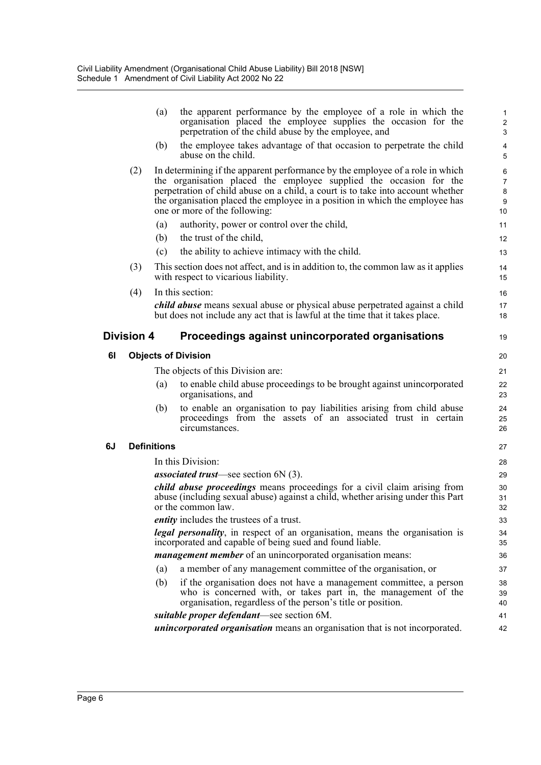|    |                   | (a)                | the apparent performance by the employee of a role in which the<br>organisation placed the employee supplies the occasion for the<br>perpetration of the child abuse by the employee, and                                                                                                                                                               | $\mathbf{1}$<br>$\boldsymbol{2}$<br>3              |
|----|-------------------|--------------------|---------------------------------------------------------------------------------------------------------------------------------------------------------------------------------------------------------------------------------------------------------------------------------------------------------------------------------------------------------|----------------------------------------------------|
|    |                   | (b)                | the employee takes advantage of that occasion to perpetrate the child<br>abuse on the child.                                                                                                                                                                                                                                                            | $\overline{\mathbf{4}}$<br>5                       |
|    | (2)               |                    | In determining if the apparent performance by the employee of a role in which<br>the organisation placed the employee supplied the occasion for the<br>perpetration of child abuse on a child, a court is to take into account whether<br>the organisation placed the employee in a position in which the employee has<br>one or more of the following: | 6<br>$\overline{7}$<br>8<br>$\boldsymbol{9}$<br>10 |
|    |                   | (a)                | authority, power or control over the child,                                                                                                                                                                                                                                                                                                             | 11                                                 |
|    |                   | (b)                | the trust of the child,                                                                                                                                                                                                                                                                                                                                 | 12                                                 |
|    |                   | (c)                | the ability to achieve intimacy with the child.                                                                                                                                                                                                                                                                                                         | 13                                                 |
|    | (3)               |                    | This section does not affect, and is in addition to, the common law as it applies<br>with respect to vicarious liability.                                                                                                                                                                                                                               | 14<br>15                                           |
|    | (4)               |                    | In this section:                                                                                                                                                                                                                                                                                                                                        | 16                                                 |
|    |                   |                    | <i>child abuse</i> means sexual abuse or physical abuse perpetrated against a child<br>but does not include any act that is lawful at the time that it takes place.                                                                                                                                                                                     | 17<br>18                                           |
|    | <b>Division 4</b> |                    | Proceedings against unincorporated organisations                                                                                                                                                                                                                                                                                                        | 19                                                 |
| 61 |                   |                    | <b>Objects of Division</b>                                                                                                                                                                                                                                                                                                                              | 20                                                 |
|    |                   |                    | The objects of this Division are:                                                                                                                                                                                                                                                                                                                       | 21                                                 |
|    |                   | (a)                | to enable child abuse proceedings to be brought against unincorporated<br>organisations, and                                                                                                                                                                                                                                                            | 22<br>23                                           |
|    |                   | (b)                | to enable an organisation to pay liabilities arising from child abuse<br>proceedings from the assets of an associated trust in certain<br>circumstances.                                                                                                                                                                                                | 24<br>25<br>26                                     |
| 6J |                   | <b>Definitions</b> |                                                                                                                                                                                                                                                                                                                                                         | 27                                                 |
|    |                   |                    | In this Division:                                                                                                                                                                                                                                                                                                                                       | 28                                                 |
|    |                   |                    | <i>associated trust</i> —see section $6N(3)$ .                                                                                                                                                                                                                                                                                                          | 29                                                 |
|    |                   |                    | <i>child abuse proceedings</i> means proceedings for a civil claim arising from<br>abuse (including sexual abuse) against a child, whether arising under this Part<br>or the common law.                                                                                                                                                                | 30<br>31<br>32                                     |
|    |                   |                    | <i>entity</i> includes the trustees of a trust.                                                                                                                                                                                                                                                                                                         | 33                                                 |
|    |                   |                    | <i>legal personality</i> , in respect of an organisation, means the organisation is<br>incorporated and capable of being sued and found liable.                                                                                                                                                                                                         | 34<br>35                                           |
|    |                   |                    | <i>management member</i> of an unincorporated organisation means:                                                                                                                                                                                                                                                                                       | 36                                                 |
|    |                   | (a)                | a member of any management committee of the organisation, or                                                                                                                                                                                                                                                                                            | 37                                                 |
|    |                   | (b)                | if the organisation does not have a management committee, a person<br>who is concerned with, or takes part in, the management of the<br>organisation, regardless of the person's title or position.                                                                                                                                                     | 38<br>39<br>40                                     |
|    |                   |                    | suitable proper defendant—see section 6M.                                                                                                                                                                                                                                                                                                               | 41                                                 |
|    |                   |                    | <i>unincorporated organisation</i> means an organisation that is not incorporated.                                                                                                                                                                                                                                                                      | 42                                                 |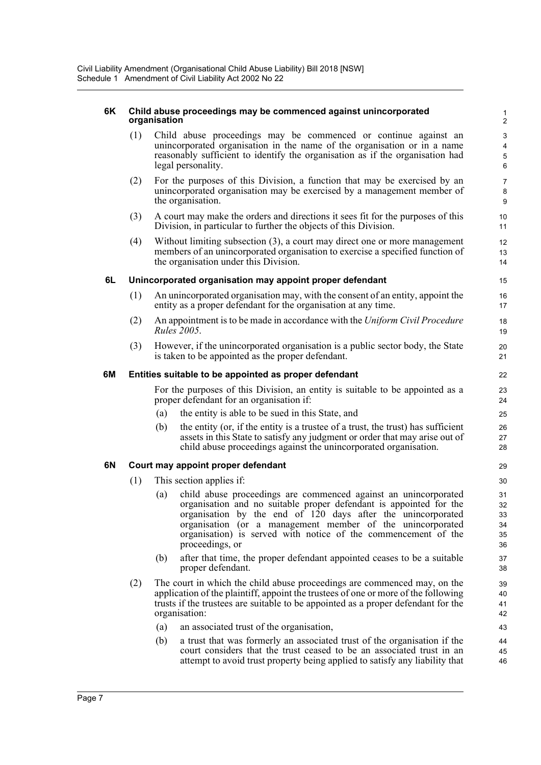#### **6K Child abuse proceedings may be commenced against unincorporated** 1 **organisation** 2

(1) Child abuse proceedings may be commenced or continue against an 3 unincorporated organisation in the name of the organisation or in a name reasonably sufficient to identify the organisation as if the organisation had legal personality. 6

5 4

8

13

27

41 40

- (2) For the purposes of this Division, a function that may be exercised by an 7 unincorporated organisation may be exercised by a management member of the organisation. 9
- (3) A court may make the orders and directions it sees fit for the purposes of this 10 Division, in particular to further the objects of this Division. 11
- (4) Without limiting subsection (3), a court may direct one or more management 12 members of an unincorporated organisation to exercise a specified function of the organisation under this Division. 14

#### **6L Unincorporated organisation may appoint proper defendant** 15

- (1) An unincorporated organisation may, with the consent of an entity, appoint the 16 entity as a proper defendant for the organisation at any time.
- (2) An appointment is to be made in accordance with the *Uniform Civil Procedure* 18 *Rules 2005***.** 19
- (3) However, if the unincorporated organisation is a public sector body, the State 20 is taken to be appointed as the proper defendant. 21

#### **6M Entities suitable to be appointed as proper defendant** 22

For the purposes of this Division, an entity is suitable to be appointed as a 23 proper defendant for an organisation if: 24

- (a) the entity is able to be sued in this State, and 25
- (b) the entity (or, if the entity is a trustee of a trust, the trust) has sufficient  $26$ assets in this State to satisfy any judgment or order that may arise out of child abuse proceedings against the unincorporated organisation. 28

#### **6N Court may appoint proper defendant** 29

- (1) This section applies if: 30
	- (a) child abuse proceedings are commenced against an unincorporated 31 organisation and no suitable proper defendant is appointed for the organisation by the end of 120 days after the unincorporated organisation (or a management member of the unincorporated organisation) is served with notice of the commencement of the proceedings, or 36
	- (b) after that time, the proper defendant appointed ceases to be a suitable 37 proper defendant. 38
- (2) The court in which the child abuse proceedings are commenced may, on the  $\frac{39}{2}$ application of the plaintiff, appoint the trustees of one or more of the following trusts if the trustees are suitable to be appointed as a proper defendant for the organisation: 42
	- (a) an associated trust of the organisation, 43
	- (b) 46 45 a trust that was formerly an associated trust of the organisation if the 44 court considers that the trust ceased to be an associated trust in an attempt to avoid trust property being applied to satisfy any liability that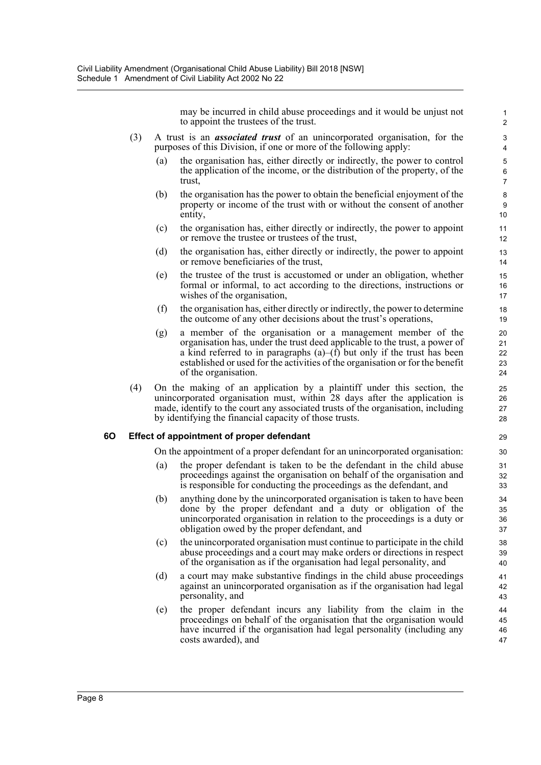may be incurred in child abuse proceedings and it would be unjust not to appoint the trustees of the trust.

1

6

9

16

23  $22$ 21

27 26

 $32$ 

36 35

39

42

46 45

- (3) A trust is an *associated trust* of an unincorporated organisation, for the 3 purposes of this Division, if one or more of the following apply: 4
	- (a) the organisation has, either directly or indirectly, the power to control 5 the application of the income, or the distribution of the property, of the trust, 7
	- (b) the organisation has the power to obtain the beneficial enjoyment of the 8 property or income of the trust with or without the consent of another entity, the contract of the contract of the contract of the contract of the contract of the contract of the contract of the contract of the contract of the contract of the contract of the contract of the contract of the co
	- (c) the organisation has, either directly or indirectly, the power to appoint 11 or remove the trustee or trustees of the trust, 12
	- (d) the organisation has, either directly or indirectly, the power to appoint 13 or remove beneficiaries of the trust, 14
	- (e) the trustee of the trust is accustomed or under an obligation, whether 15 formal or informal, to act according to the directions, instructions or wishes of the organisation, 17
	- (f) the organisation has, either directly or indirectly, the power to determine 18 the outcome of any other decisions about the trust's operations, 19
	- (g) a member of the organisation or a management member of the 20 organisation has, under the trust deed applicable to the trust, a power of a kind referred to in paragraphs  $(a)$ – $(f)$  but only if the trust has been established or used for the activities of the organisation or for the benefit of the organisation. 24
- (4) On the making of an application by a plaintiff under this section, the 25 unincorporated organisation must, within 28 days after the application is made, identify to the court any associated trusts of the organisation, including by identifying the financial capacity of those trusts. 28

#### **6O Effect of appointment of proper defendant** 29

On the appointment of a proper defendant for an unincorporated organisation: 30

- (a) the proper defendant is taken to be the defendant in the child abuse 31 proceedings against the organisation on behalf of the organisation and is responsible for conducting the proceedings as the defendant, and 33
- (b) anything done by the unincorporated organisation is taken to have been 34 done by the proper defendant and a duty or obligation of the unincorporated organisation in relation to the proceedings is a duty or obligation owed by the proper defendant, and 37
- (c) the unincorporated organisation must continue to participate in the child 38 abuse proceedings and a court may make orders or directions in respect of the organisation as if the organisation had legal personality, and 40
- (d) a court may make substantive findings in the child abuse proceedings 41 against an unincorporated organisation as if the organisation had legal personality, and 43
- (e) the proper defendant incurs any liability from the claim in the 44 proceedings on behalf of the organisation that the organisation would have incurred if the organisation had legal personality (including any costs awarded), and 47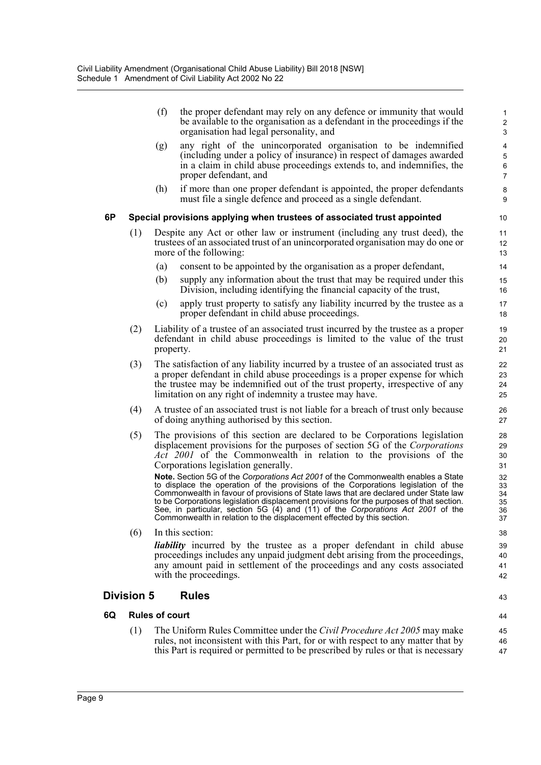|    |                   | (f)                   | the proper defendant may rely on any defence or immunity that would<br>be available to the organisation as a defendant in the proceedings if the<br>organisation had legal personality, and                                                                                                                                                                                                                                                                                                                              | 1<br>$\overline{c}$<br>3         |
|----|-------------------|-----------------------|--------------------------------------------------------------------------------------------------------------------------------------------------------------------------------------------------------------------------------------------------------------------------------------------------------------------------------------------------------------------------------------------------------------------------------------------------------------------------------------------------------------------------|----------------------------------|
|    |                   | (g)                   | any right of the unincorporated organisation to be indemnified<br>(including under a policy of insurance) in respect of damages awarded<br>in a claim in child abuse proceedings extends to, and indemnifies, the<br>proper defendant, and                                                                                                                                                                                                                                                                               | 4<br>5<br>6<br>$\overline{7}$    |
|    |                   | (h)                   | if more than one proper defendant is appointed, the proper defendants<br>must file a single defence and proceed as a single defendant.                                                                                                                                                                                                                                                                                                                                                                                   | 8<br>9                           |
| 6P |                   |                       | Special provisions applying when trustees of associated trust appointed                                                                                                                                                                                                                                                                                                                                                                                                                                                  | 10                               |
|    | (1)               |                       | Despite any Act or other law or instrument (including any trust deed), the<br>trustees of an associated trust of an unincorporated organisation may do one or<br>more of the following:                                                                                                                                                                                                                                                                                                                                  | 11<br>12<br>13                   |
|    |                   | (a)                   | consent to be appointed by the organisation as a proper defendant,                                                                                                                                                                                                                                                                                                                                                                                                                                                       | 14                               |
|    |                   | (b)                   | supply any information about the trust that may be required under this<br>Division, including identifying the financial capacity of the trust,                                                                                                                                                                                                                                                                                                                                                                           | 15<br>16                         |
|    |                   | (c)                   | apply trust property to satisfy any liability incurred by the trustee as a<br>proper defendant in child abuse proceedings.                                                                                                                                                                                                                                                                                                                                                                                               | 17<br>18                         |
|    | (2)               | property.             | Liability of a trustee of an associated trust incurred by the trustee as a proper<br>defendant in child abuse proceedings is limited to the value of the trust                                                                                                                                                                                                                                                                                                                                                           | 19<br>20<br>21                   |
|    | (3)               |                       | The satisfaction of any liability incurred by a trustee of an associated trust as<br>a proper defendant in child abuse proceedings is a proper expense for which<br>the trustee may be indemnified out of the trust property, irrespective of any<br>limitation on any right of indemnity a trustee may have.                                                                                                                                                                                                            | 22<br>23<br>24<br>25             |
|    | (4)               |                       | A trustee of an associated trust is not liable for a breach of trust only because<br>of doing anything authorised by this section.                                                                                                                                                                                                                                                                                                                                                                                       | 26<br>27                         |
|    | (5)               |                       | The provisions of this section are declared to be Corporations legislation<br>displacement provisions for the purposes of section 5G of the Corporations<br>Act 2001 of the Commonwealth in relation to the provisions of the<br>Corporations legislation generally.                                                                                                                                                                                                                                                     | 28<br>29<br>30<br>31             |
|    |                   |                       | Note. Section 5G of the Corporations Act 2001 of the Commonwealth enables a State<br>to displace the operation of the provisions of the Corporations legislation of the<br>Commonwealth in favour of provisions of State laws that are declared under State law<br>to be Corporations legislation displacement provisions for the purposes of that section.<br>See, in particular, section 5G (4) and (11) of the Corporations Act 2001 of the<br>Commonwealth in relation to the displacement effected by this section. | 32<br>33<br>34<br>35<br>36<br>37 |
|    | (6)               |                       | In this section:                                                                                                                                                                                                                                                                                                                                                                                                                                                                                                         | 38                               |
|    |                   |                       | <i>liability</i> incurred by the trustee as a proper defendant in child abuse<br>proceedings includes any unpaid judgment debt arising from the proceedings,<br>any amount paid in settlement of the proceedings and any costs associated<br>with the proceedings.                                                                                                                                                                                                                                                       | 39<br>40<br>41<br>42             |
|    | <b>Division 5</b> |                       | <b>Rules</b>                                                                                                                                                                                                                                                                                                                                                                                                                                                                                                             | 43                               |
| 6Q |                   | <b>Rules of court</b> |                                                                                                                                                                                                                                                                                                                                                                                                                                                                                                                          | 44                               |
|    | (1)               |                       | The Uniform Rules Committee under the <i>Civil Procedure Act 2005</i> may make                                                                                                                                                                                                                                                                                                                                                                                                                                           | 45                               |
|    |                   |                       | rules, not inconsistent with this Part, for or with respect to any matter that by<br>this Part is required or permitted to be prescribed by rules or that is necessary                                                                                                                                                                                                                                                                                                                                                   | 46<br>47                         |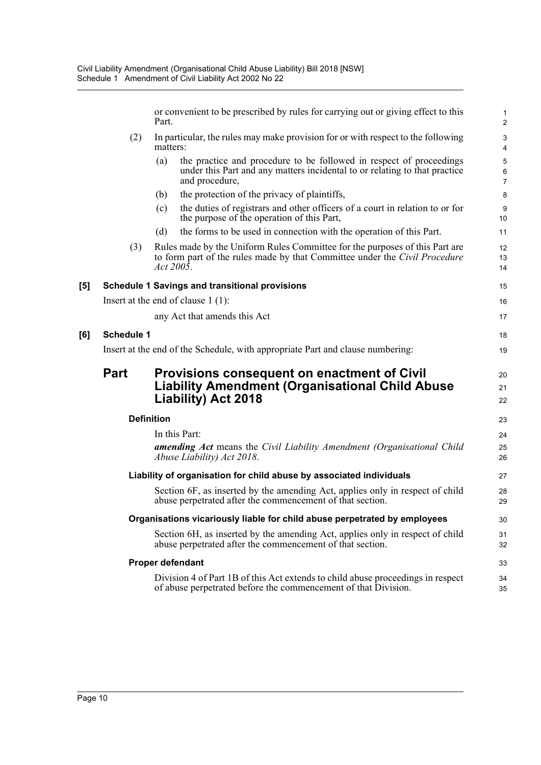or convenient to be prescribed by rules for carrying out or giving effect to this Part.

1

6

13

- $(2)$  In particular, the rules may make provision for or with respect to the following  $\frac{3}{2}$ matters: 4
	- (a) the practice and procedure to be followed in respect of proceedings 5 under this Part and any matters incidental to or relating to that practice and procedure,  $\frac{7}{2}$
	- (b) the protection of the privacy of plaintiffs, 8
	- (c) the duties of registrars and other officers of a court in relation to or for 9 the purpose of the operation of this Part, 10
	- (d) the forms to be used in connection with the operation of this Part.
- (3) Rules made by the Uniform Rules Committee for the purposes of this Part are 12 to form part of the rules made by that Committee under the *Civil Procedure Act 2005*. 14

| $\mathsf{[}5\mathsf{]}$ | <b>Schedule 1 Savings and transitional provisions</b> |  |  |  |  |
|-------------------------|-------------------------------------------------------|--|--|--|--|
|                         | Insert at the end of clause $1(1)$ :                  |  |  |  |  |
|                         | any Act that amends this Act                          |  |  |  |  |

#### **[6] Schedule 1** 18

Insert at the end of the Schedule, with appropriate Part and clause numbering: 19

### **Part Provisions consequent on enactment of Civil 20 20 20 Liability Amendment (Organisational Child Abuse** <sup>21</sup> **Liability) Act 2018** 22

| <b>Definition</b>                                                               | 23 |
|---------------------------------------------------------------------------------|----|
| In this Part:                                                                   | 24 |
| <b>amending Act</b> means the Civil Liability Amendment (Organisational Child   | 25 |
| Abuse Liability) Act 2018.                                                      | 26 |
| Liability of organisation for child abuse by associated individuals             | 27 |
| Section 6F, as inserted by the amending Act, applies only in respect of child   | 28 |
| abuse perpetrated after the commencement of that section.                       | 29 |
| Organisations vicariously liable for child abuse perpetrated by employees       | 30 |
| Section 6H, as inserted by the amending Act, applies only in respect of child   | 31 |
| abuse perpetrated after the commencement of that section.                       | 32 |
| Proper defendant                                                                | 33 |
| Division 4 of Part 1B of this Act extends to child abuse proceedings in respect | 34 |
| of abuse perpetrated before the commencement of that Division.                  | 35 |